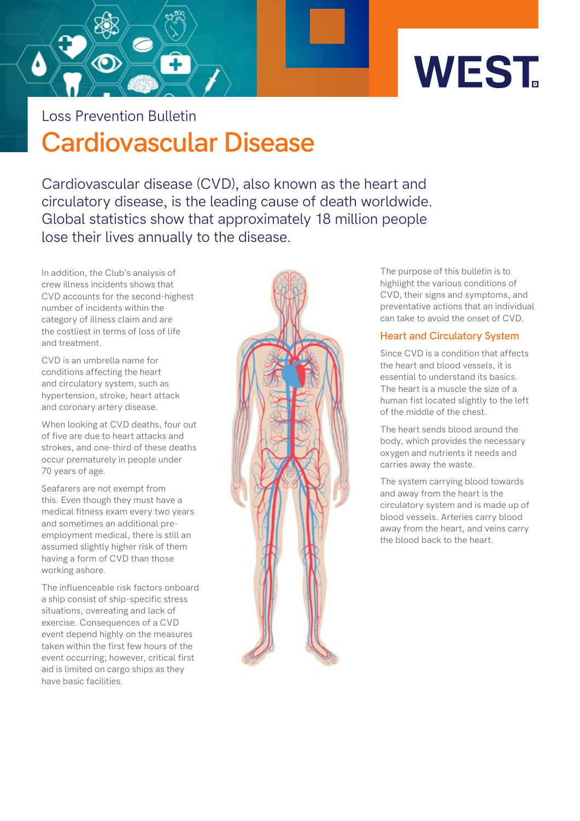

**Cardiovascular Disease** Loss Prevention Bulletin

Cardiovascular disease (CVD), also known as the heart and circulatory disease, is the leading cause of death worldwide. Global statistics show that approximately 18 million people lose their lives annually to the disease.

In addition, the Club's analysis of crew illness incidents shows that CVD accounts for the second-highest number of incidents within the category of illness claim and are the costliest in terms of loss of life and treatment.

CVD is an umbrella name for conditions affecting the heart and circulatory system, such as hypertension, stroke, heart attack and coronary artery disease.

When looking at CVD deaths, four out of five are due to heart attacks and strokes, and one-third of these deaths occur prematurely in people under 70 years of age.

Seafarers are not exempt from this. Even though they must have a medical fitness exam every two years and sometimes an additional preemployment medical, there is still an assumed slightly higher risk of them having a form of CVD than those working ashore.

The influenceable risk factors onboard a ship consist of ship-specific stress situations, overeating and lack of exercise. Consequences of a CVD event depend highly on the measures taken within the first few hours of the event occurring; however, critical first aid is limited on cargo ships as they have basic facilities.



The purpose of this bulletin is to highlight the various conditions of CVD, their signs and symptoms, and preventative actions that an individual can take to avoid the onset of CVD.

#### **Heart and Circulatory System**

Since CVD is a condition that affects the heart and blood vessels, it is essential to understand its basics. The heart is a muscle the size of a human fist located slightly to the left of the middle of the chest.

The heart sends blood around the body, which provides the necessary oxygen and nutrients it needs and carries away the waste.

The system carrying blood towards and away from the heart is the circulatory system and is made up of blood vessels. Arteries carry blood away from the heart, and veins carry the blood back to the heart.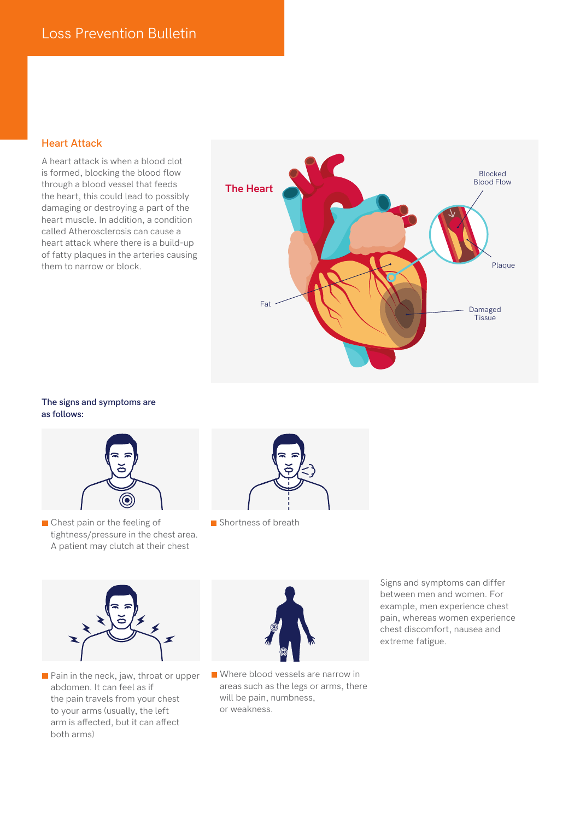#### **Heart Attack**

A heart attack is when a blood clot is formed, blocking the blood flow through a blood vessel that feeds the heart, this could lead to possibly damaging or destroying a part of the heart muscle. In addition, a condition called Atherosclerosis can cause a heart attack where there is a build-up of fatty plaques in the arteries causing them to narrow or block.



#### **The signs and symptoms are as follows:**



Chest pain or the feeling of tightness/pressure in the chest area. A patient may clutch at their chest



Shortness of breath



**Pain in the neck, jaw, throat or upper** abdomen. It can feel as if the pain travels from your chest to your arms (usually, the left arm is affected, but it can affect both arms)



Where blood vessels are narrow in areas such as the legs or arms, there will be pain, numbness, or weakness.

Signs and symptoms can differ between men and women. For example, men experience chest pain, whereas women experience chest discomfort, nausea and extreme fatigue.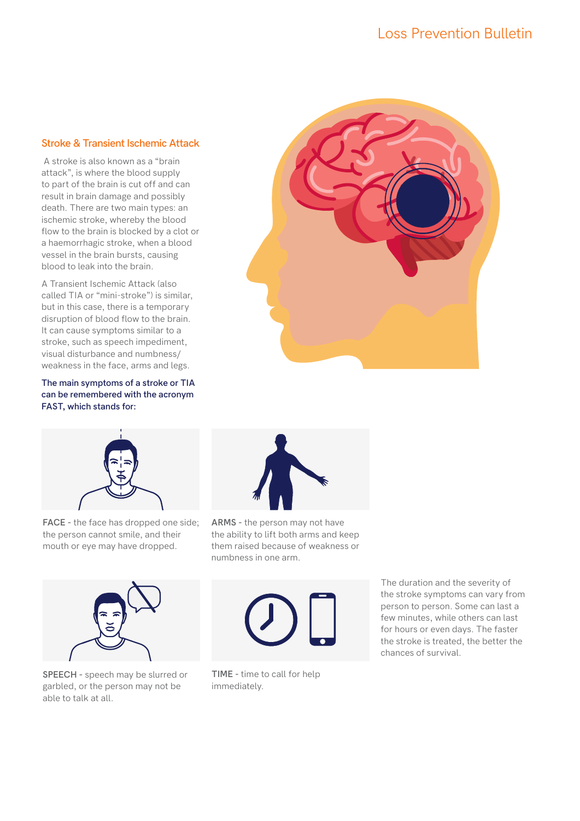## Loss Prevention Bulletin

#### **Stroke & Transient Ischemic Attack**

 A stroke is also known as a "brain attack", is where the blood supply to part of the brain is cut off and can result in brain damage and possibly death. There are two main types: an ischemic stroke, whereby the blood flow to the brain is blocked by a clot or a haemorrhagic stroke, when a blood vessel in the brain bursts, causing blood to leak into the brain.

A Transient Ischemic Attack (also called TIA or "mini-stroke") is similar, but in this case, there is a temporary disruption of blood flow to the brain. It can cause symptoms similar to a stroke, such as speech impediment, visual disturbance and numbness/ weakness in the face, arms and legs.

#### **The main symptoms of a stroke or TIA can be remembered with the acronym FAST, which stands for:**





**FACE -** the face has dropped one side; the person cannot smile, and their mouth or eye may have dropped.



**ARMS -** the person may not have the ability to lift both arms and keep them raised because of weakness or numbness in one arm.



**SPEECH -** speech may be slurred or garbled, or the person may not be able to talk at all.



**TIME -** time to call for help immediately.

The duration and the severity of the stroke symptoms can vary from person to person. Some can last a few minutes, while others can last for hours or even days. The faster the stroke is treated, the better the chances of survival.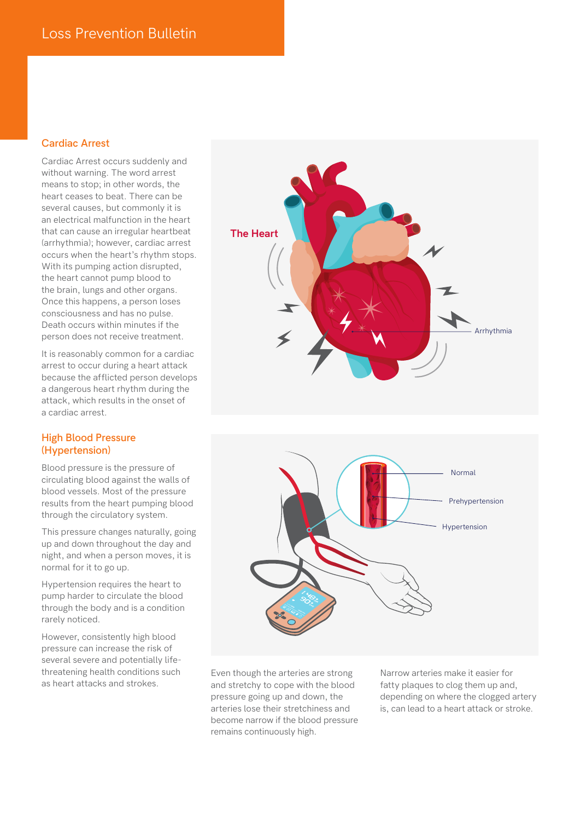#### **Cardiac Arrest**

Cardiac Arrest occurs suddenly and without warning. The word arrest means to stop; in other words, the heart ceases to beat. There can be several causes, but commonly it is an electrical malfunction in the heart that can cause an irregular heartbeat (arrhythmia); however, cardiac arrest occurs when the heart's rhythm stops. With its pumping action disrupted, the heart cannot pump blood to the brain, lungs and other organs. Once this happens, a person loses consciousness and has no pulse. Death occurs within minutes if the person does not receive treatment.

It is reasonably common for a cardiac arrest to occur during a heart attack because the afflicted person develops a dangerous heart rhythm during the attack, which results in the onset of a cardiac arrest.

#### **High Blood Pressure (Hypertension)**

Blood pressure is the pressure of circulating blood against the walls of blood vessels. Most of the pressure results from the heart pumping blood through the circulatory system.

This pressure changes naturally, going up and down throughout the day and night, and when a person moves, it is normal for it to go up.

Hypertension requires the heart to pump harder to circulate the blood through the body and is a condition rarely noticed.

However, consistently high blood pressure can increase the risk of several severe and potentially lifethreatening health conditions such as heart attacks and strokes.





Even though the arteries are strong and stretchy to cope with the blood pressure going up and down, the arteries lose their stretchiness and become narrow if the blood pressure remains continuously high.

Narrow arteries make it easier for fatty plaques to clog them up and, depending on where the clogged artery is, can lead to a heart attack or stroke.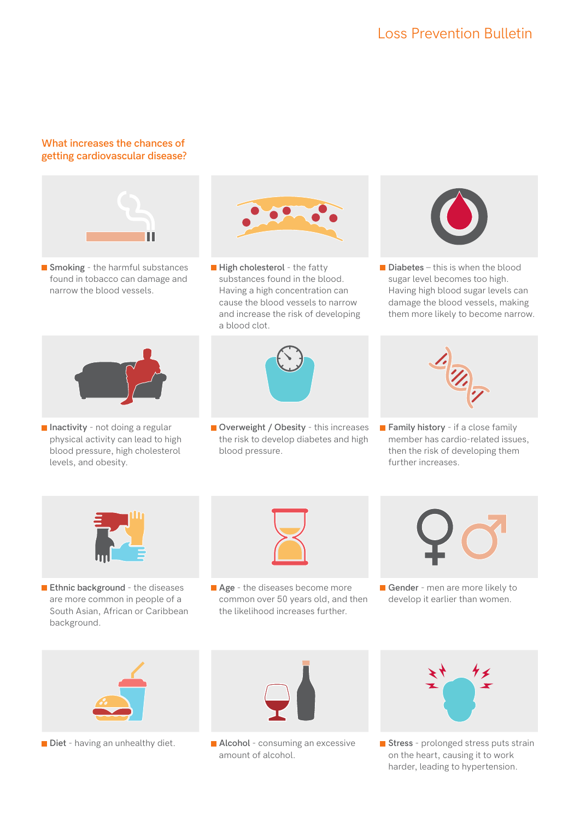# Loss Prevention Bulletin

### **What increases the chances of getting cardiovascular disease?**



**Smoking** - the harmful substances found in tobacco can damage and narrow the blood vessels.



**High cholesterol** - the fatty substances found in the blood. Having a high concentration can cause the blood vessels to narrow and increase the risk of developing a blood clot.



**Overweight / Obesity** - this increases the risk to develop diabetes and high blood pressure.



**Diabetes** – this is when the blood sugar level becomes too high. Having high blood sugar levels can damage the blood vessels, making them more likely to become narrow.



**Family history** - if a close family member has cardio-related issues, then the risk of developing them further increases.



**Inactivity** - not doing a regular physical activity can lead to high blood pressure, high cholesterol

levels, and obesity.

**Ethnic background** - the diseases are more common in people of a South Asian, African or Caribbean background.



**Age** - the diseases become more common over 50 years old, and then the likelihood increases further.



**Gender** - men are more likely to develop it earlier than women.





■ Diet - having an unhealthy diet. ■ Alcohol - consuming an excessive amount of alcohol.



**Stress** - prolonged stress puts strain on the heart, causing it to work harder, leading to hypertension.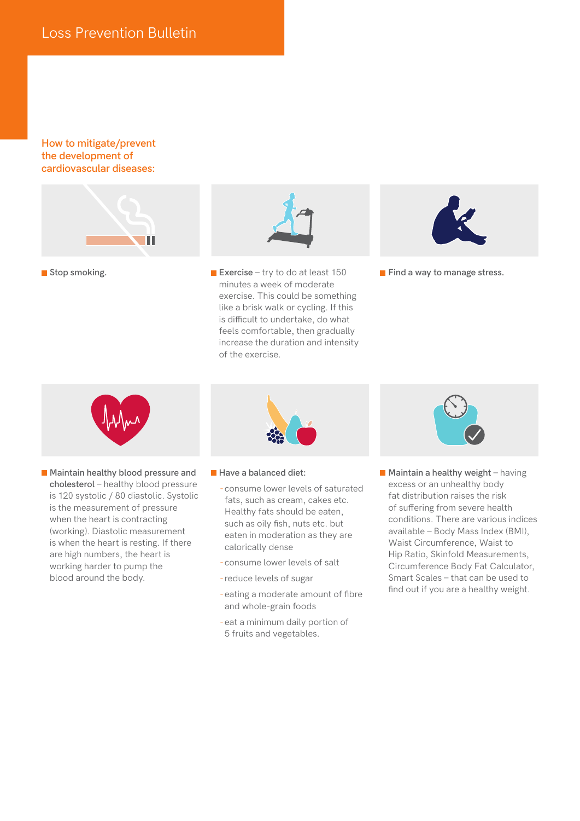#### **How to mitigate/prevent the development of cardiovascular diseases:**



**Stop smoking.** 



**Exercise** – try to do at least 150 minutes a week of moderate exercise. This could be something like a brisk walk or cycling. If this is difficult to undertake, do what feels comfortable, then gradually increase the duration and intensity of the exercise.



**Find a way to manage stress.** 



**Maintain healthy blood pressure and cholesterol** – healthy blood pressure is 120 systolic / 80 diastolic. Systolic is the measurement of pressure when the heart is contracting (working). Diastolic measurement is when the heart is resting. If there are high numbers, the heart is working harder to pump the blood around the body.



- **Have a balanced diet:** 
	- -consume lower levels of saturated fats, such as cream, cakes etc. Healthy fats should be eaten, such as oily fish, nuts etc. but eaten in moderation as they are calorically dense
	- -consume lower levels of salt
	- -reduce levels of sugar
	- -eating a moderate amount of fibre and whole-grain foods
	- -eat a minimum daily portion of 5 fruits and vegetables.



**Maintain a healthy weight** – having excess or an unhealthy body fat distribution raises the risk of suffering from severe health conditions. There are various indices available – Body Mass Index (BMI), Waist Circumference, Waist to Hip Ratio, Skinfold Measurements, Circumference Body Fat Calculator, Smart Scales – that can be used to find out if you are a healthy weight.